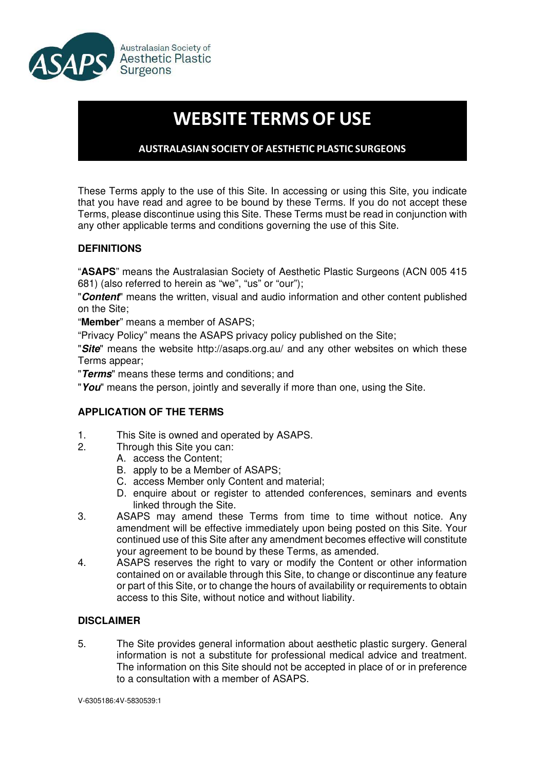

# **WEBSITE TERMS OF USE**

# **AUSTRALASIAN SOCIETY OF AESTHETIC PLASTIC SURGEONS**

These Terms apply to the use of this Site. In accessing or using this Site, you indicate that you have read and agree to be bound by these Terms. If you do not accept these Terms, please discontinue using this Site. These Terms must be read in conjunction with any other applicable terms and conditions governing the use of this Site.

## **DEFINITIONS**

"**ASAPS**" means the Australasian Society of Aesthetic Plastic Surgeons (ACN 005 415 681) (also referred to herein as "we", "us" or "our");

"**Content**" means the written, visual and audio information and other content published on the Site;

"**Member**" means a member of ASAPS;

"Privacy Policy" means the ASAPS privacy policy published on the Site;

"**Site**" means the website http://asaps.org.au/ and any other websites on which these Terms appear;

"**Terms**" means these terms and conditions; and

"**You**" means the person, jointly and severally if more than one, using the Site.

#### **APPLICATION OF THE TERMS**

- 1. This Site is owned and operated by ASAPS.<br>2. Through this Site you can:
	- Through this Site you can:
		- A. access the Content;
			- B. apply to be a Member of ASAPS;
			- C. access Member only Content and material;
			- D. enquire about or register to attended conferences, seminars and events linked through the Site.
- 3. ASAPS may amend these Terms from time to time without notice. Any amendment will be effective immediately upon being posted on this Site. Your continued use of this Site after any amendment becomes effective will constitute your agreement to be bound by these Terms, as amended.
- 4. ASAPS reserves the right to vary or modify the Content or other information contained on or available through this Site, to change or discontinue any feature or part of this Site, or to change the hours of availability or requirements to obtain access to this Site, without notice and without liability.

#### **DISCLAIMER**

5. The Site provides general information about aesthetic plastic surgery. General information is not a substitute for professional medical advice and treatment. The information on this Site should not be accepted in place of or in preference to a consultation with a member of ASAPS.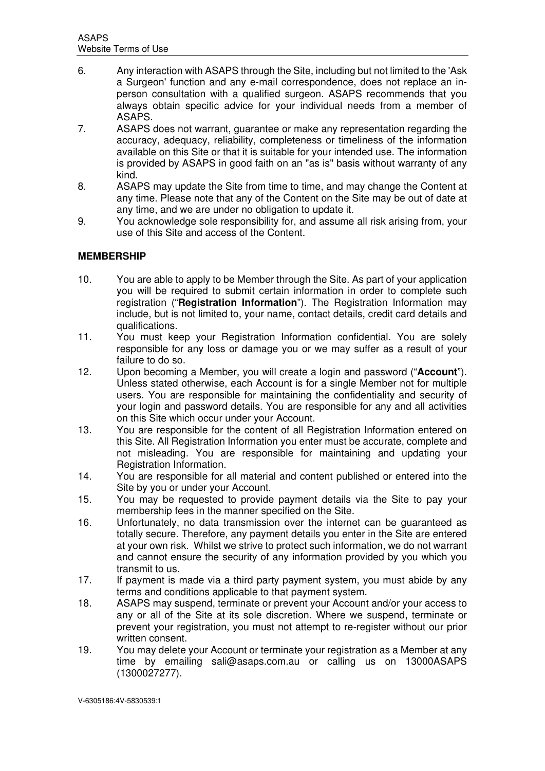- 6. Any interaction with ASAPS through the Site, including but not limited to the 'Ask a Surgeon' function and any e-mail correspondence, does not replace an inperson consultation with a qualified surgeon. ASAPS recommends that you always obtain specific advice for your individual needs from a member of ASAPS.
- 7. ASAPS does not warrant, guarantee or make any representation regarding the accuracy, adequacy, reliability, completeness or timeliness of the information available on this Site or that it is suitable for your intended use. The information is provided by ASAPS in good faith on an "as is" basis without warranty of any kind.
- 8. ASAPS may update the Site from time to time, and may change the Content at any time. Please note that any of the Content on the Site may be out of date at any time, and we are under no obligation to update it.
- 9. You acknowledge sole responsibility for, and assume all risk arising from, your use of this Site and access of the Content.

# **MEMBERSHIP**

- 10. You are able to apply to be Member through the Site. As part of your application you will be required to submit certain information in order to complete such registration ("**Registration Information**"). The Registration Information may include, but is not limited to, your name, contact details, credit card details and qualifications.
- 11. You must keep your Registration Information confidential. You are solely responsible for any loss or damage you or we may suffer as a result of your failure to do so.
- 12. Upon becoming a Member, you will create a login and password ("**Account**"). Unless stated otherwise, each Account is for a single Member not for multiple users. You are responsible for maintaining the confidentiality and security of your login and password details. You are responsible for any and all activities on this Site which occur under your Account.
- 13. You are responsible for the content of all Registration Information entered on this Site. All Registration Information you enter must be accurate, complete and not misleading. You are responsible for maintaining and updating your Registration Information.
- 14. You are responsible for all material and content published or entered into the Site by you or under your Account.
- 15. You may be requested to provide payment details via the Site to pay your membership fees in the manner specified on the Site.
- 16. Unfortunately, no data transmission over the internet can be guaranteed as totally secure. Therefore, any payment details you enter in the Site are entered at your own risk. Whilst we strive to protect such information, we do not warrant and cannot ensure the security of any information provided by you which you transmit to us.
- 17. If payment is made via a third party payment system, you must abide by any terms and conditions applicable to that payment system.
- 18. ASAPS may suspend, terminate or prevent your Account and/or your access to any or all of the Site at its sole discretion. Where we suspend, terminate or prevent your registration, you must not attempt to re-register without our prior written consent.
- 19. You may delete your Account or terminate your registration as a Member at any time by emailing sali@asaps.com.au or calling us on 13000ASAPS (1300027277).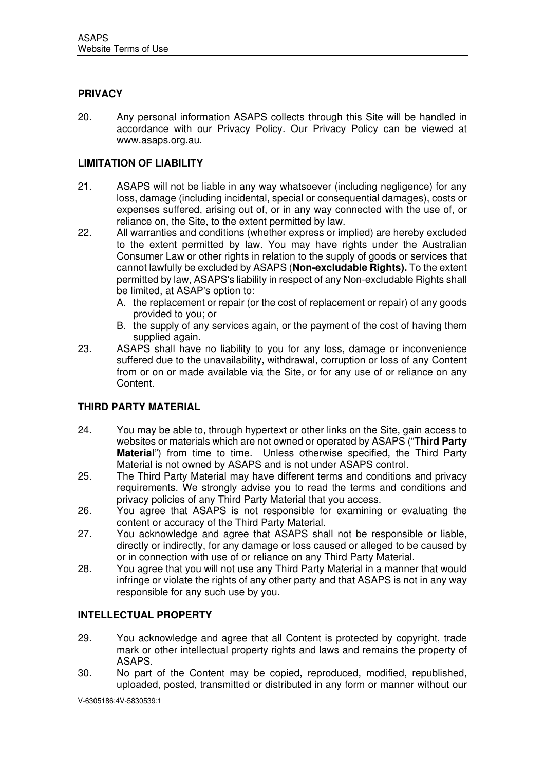# **PRIVACY**

20. Any personal information ASAPS collects through this Site will be handled in accordance with our Privacy Policy. Our Privacy Policy can be viewed at www.asaps.org.au.

### **LIMITATION OF LIABILITY**

- 21. ASAPS will not be liable in any way whatsoever (including negligence) for any loss, damage (including incidental, special or consequential damages), costs or expenses suffered, arising out of, or in any way connected with the use of, or reliance on, the Site, to the extent permitted by law.
- 22. All warranties and conditions (whether express or implied) are hereby excluded to the extent permitted by law. You may have rights under the Australian Consumer Law or other rights in relation to the supply of goods or services that cannot lawfully be excluded by ASAPS (**Non-excludable Rights).** To the extent permitted by law, ASAPS's liability in respect of any Non-excludable Rights shall be limited, at ASAP's option to:
	- A. the replacement or repair (or the cost of replacement or repair) of any goods provided to you; or
	- B. the supply of any services again, or the payment of the cost of having them supplied again.
- 23. ASAPS shall have no liability to you for any loss, damage or inconvenience suffered due to the unavailability, withdrawal, corruption or loss of any Content from or on or made available via the Site, or for any use of or reliance on any Content.

#### **THIRD PARTY MATERIAL**

- 24. You may be able to, through hypertext or other links on the Site, gain access to websites or materials which are not owned or operated by ASAPS ("**Third Party Material**") from time to time. Unless otherwise specified, the Third Party Material is not owned by ASAPS and is not under ASAPS control.
- 25. The Third Party Material may have different terms and conditions and privacy requirements. We strongly advise you to read the terms and conditions and privacy policies of any Third Party Material that you access.
- 26. You agree that ASAPS is not responsible for examining or evaluating the content or accuracy of the Third Party Material.
- 27. You acknowledge and agree that ASAPS shall not be responsible or liable, directly or indirectly, for any damage or loss caused or alleged to be caused by or in connection with use of or reliance on any Third Party Material.
- 28. You agree that you will not use any Third Party Material in a manner that would infringe or violate the rights of any other party and that ASAPS is not in any way responsible for any such use by you.

#### **INTELLECTUAL PROPERTY**

- 29. You acknowledge and agree that all Content is protected by copyright, trade mark or other intellectual property rights and laws and remains the property of ASAPS.
- 30. No part of the Content may be copied, reproduced, modified, republished, uploaded, posted, transmitted or distributed in any form or manner without our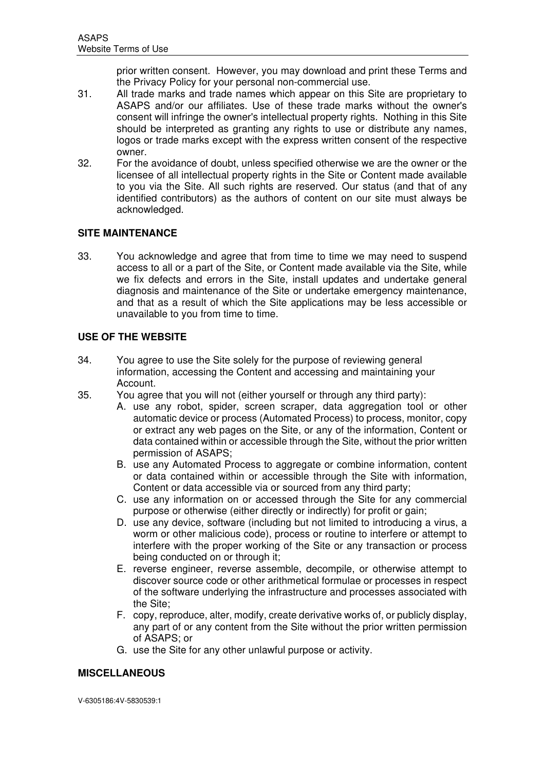prior written consent. However, you may download and print these Terms and the Privacy Policy for your personal non-commercial use.

- 31. All trade marks and trade names which appear on this Site are proprietary to ASAPS and/or our affiliates. Use of these trade marks without the owner's consent will infringe the owner's intellectual property rights. Nothing in this Site should be interpreted as granting any rights to use or distribute any names, logos or trade marks except with the express written consent of the respective owner.
- 32. For the avoidance of doubt, unless specified otherwise we are the owner or the licensee of all intellectual property rights in the Site or Content made available to you via the Site. All such rights are reserved. Our status (and that of any identified contributors) as the authors of content on our site must always be acknowledged.

## **SITE MAINTENANCE**

33. You acknowledge and agree that from time to time we may need to suspend access to all or a part of the Site, or Content made available via the Site, while we fix defects and errors in the Site, install updates and undertake general diagnosis and maintenance of the Site or undertake emergency maintenance, and that as a result of which the Site applications may be less accessible or unavailable to you from time to time.

## **USE OF THE WEBSITE**

- 34. You agree to use the Site solely for the purpose of reviewing general information, accessing the Content and accessing and maintaining your Account.
- 35. You agree that you will not (either yourself or through any third party):
	- A. use any robot, spider, screen scraper, data aggregation tool or other automatic device or process (Automated Process) to process, monitor, copy or extract any web pages on the Site, or any of the information, Content or data contained within or accessible through the Site, without the prior written permission of ASAPS;
	- B. use any Automated Process to aggregate or combine information, content or data contained within or accessible through the Site with information, Content or data accessible via or sourced from any third party;
	- C. use any information on or accessed through the Site for any commercial purpose or otherwise (either directly or indirectly) for profit or gain;
	- D. use any device, software (including but not limited to introducing a virus, a worm or other malicious code), process or routine to interfere or attempt to interfere with the proper working of the Site or any transaction or process being conducted on or through it;
	- E. reverse engineer, reverse assemble, decompile, or otherwise attempt to discover source code or other arithmetical formulae or processes in respect of the software underlying the infrastructure and processes associated with the Site;
	- F. copy, reproduce, alter, modify, create derivative works of, or publicly display, any part of or any content from the Site without the prior written permission of ASAPS; or
	- G. use the Site for any other unlawful purpose or activity.

# **MISCELLANEOUS**

V-6305186:4V-5830539:1